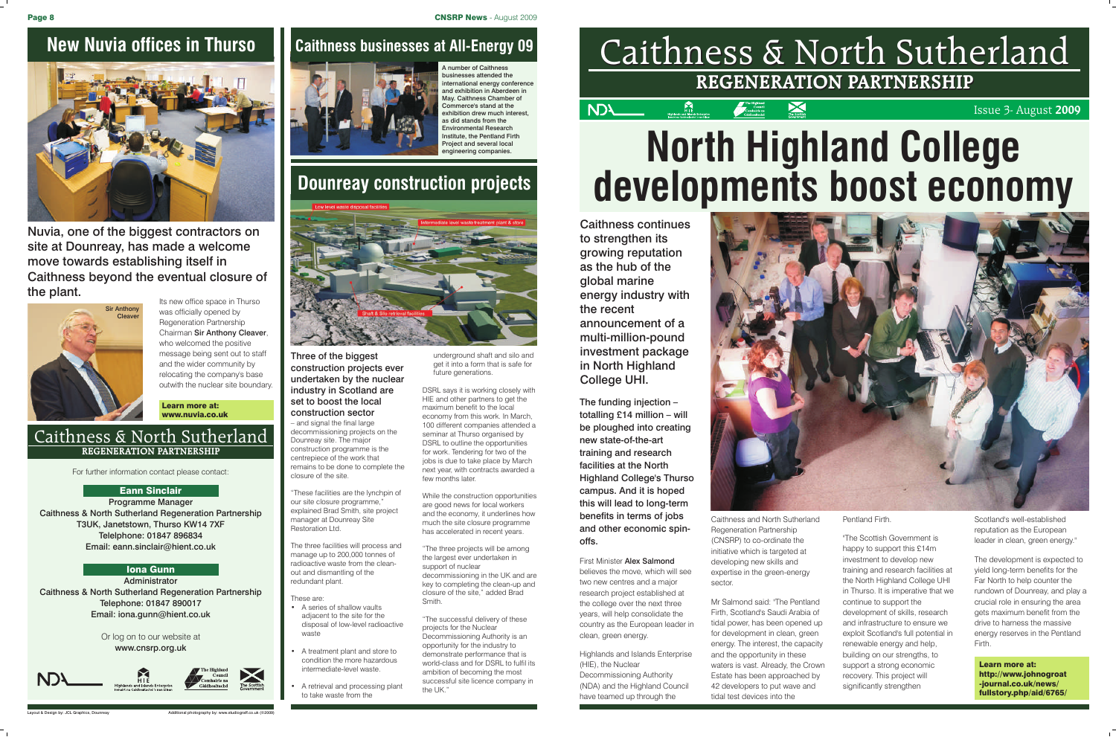## Caithness & North Sutherland Caithness & North Sutherland **REGENERATION PARTNERSHIP REGENERATION PARTNERSHIP**

X

Issue 3- August **2009**



For further information contact please contact:

Programme Manager Caithness & North Sutherland Regeneration Partnership T3UK, Janetstown, Thurso KW14 7XF Telelphone: 01847 896834 Email: eann.sinclair@hient.co.uk

Administrator Caithness & North Sutherland Regeneration Partnership Telephone: 01847 890017 Email: iona.gunn@hient.co.uk

#### Or log on to our website at www.cnsrp.org.uk









#### Eann Sinclair

#### Iona Gunn

#### Caithness & North Sutherland **REGENERATION PARTNERSHIP**

Layout & Design by: JCL Graphics, Dounreay Additional photography by: www.studiograff.co.uk (©2009)

## **New Nuvia offices in Thurso | Caithness businesses at All-Energy 09**



number of Caithness usinesses attended the nternational energy conference and exhibition in Aberdeen in May. Caithness Chamber of Commerce's stand at the exhibition drew much interest, as did stands from the Environmental Research nstitute, the Pentland Firth Project and several local engineering companies.



Nuvia, one of the biggest contractors on site at Dounreay, has made a welcome move towards establishing itself in Caithness beyond the eventual closure of the plant.

> Learn more at: www.nuvia.co.uk

Its new office space in Thurso was officially opened by Regeneration Partnership Chairman Sir Anthony Cleaver, who welcomed the positive message being sent out to staff and the wider community by relocating the company's base outwith the nuclear site boundary.



DSRL says it is working closely with HIE and other partners to get the maximum benefit to the local economy from this work. In March, 100 different companies attended a seminar at Thurso organised by DSRL to outline the opportunities for work. Tendering for two of the jobs is due to take place by March next year, with contracts awarded a few months later

"The three projects will be among the largest ever undertaken in support of nuclear decommissioning in the UK and are key to completing the clean-up and closure of the site," added Brad **Smith** 

## **Dounreay construction projects**



construction projects ever undertaken by the nuclear industry in Scotland are set to boost the local construction sector – and signal the final large decommissioning projects on the

Dounreay site. The major construction programme is the centrepiece of the work that remains to be done to complete the

closure of the site.

Restoration Ltd.

"These facilities are the lynchpin of our site closure programme, explained Brad Smith, site project manager at Dounreay Site

The three facilities will process and manage up to 200,000 tonnes of

**First Minister Alex Salmond** believes the move, which will see two new centres and a major research project established at the college over the next three years, will help consolidate the country as the European leader in clean, green energy.

radioactive waste from the cleanout and dismantling of the redundant plant. These are:

• A series of shallow vaults adjacent to the site for the disposal of low-level radioactive waste

- A treatment plant and store to condition the more hazardous intermediate-level waste.
- A retrieval and processing plant to take waste from the

underground shaft and silo and get it into a form that is safe for future generations.

While the construction opportunities are good news for local workers and the economy, it underlines how much the site closure programme has accelerated in recent years.

"The successful delivery of these projects for the Nuclear Decommissioning Authority is an opportunity for the industry to demonstrate performance that is world-class and for DSRL to fulfil its ambition of becoming the most successful site licence company in the UK."



## **North Highland College developments boost economy**

Learn more at: http://www.johnogroat -journal.co.uk/news/ fullstory.php/aid/6765/

The funding injection – totalling £14 million – will be ploughed into creating new state-of-the-art training and research facilities at the North Highland College's Thurso campus. And it is hoped this will lead to long-term benefits in terms of jobs and other economic spinoffs.

Highlands and Islands Enterprise (HIE), the Nuclear Decommissioning Authority (NDA) and the Highland Council have teamed up through the

Caithness continues to strengthen its growing reputation as the hub of the global marine energy industry with the recent announcement of a multi-million-pound investment package in North Highland College UHI.

> Caithness and North Sutherland Regeneration Partnership (CNSRP) to co-ordinate the initiative which is targeted at developing new skills and expertise in the green-energy sector.

Mr Salmond said: "The Pentland Firth, Scotland's Saudi Arabia of tidal power, has been opened up for development in clean, green energy. The interest, the capacity and the opportunity in these waters is vast. Already, the Crown Estate has been approached by 42 developers to put wave and tidal test devices into the

Pentland Firth.

"The Scottish Government is happy to support this £14m investment to develop new training and research facilities at the North Highland College UHI in Thurso. It is imperative that we continue to support the development of skills, research and infrastructure to ensure we exploit Scotland's full potential in renewable energy and help, building on our strengths, to support a strong economic recovery. This project will significantly strengthen

Scotland's well-established reputation as the European leader in clean, green energy."

The development is expected to yield long-term benefits for the Far North to help counter the rundown of Dounreay, and play a crucial role in ensuring the area gets maximum benefit from the drive to harness the massive energy reserves in the Pentland Firth.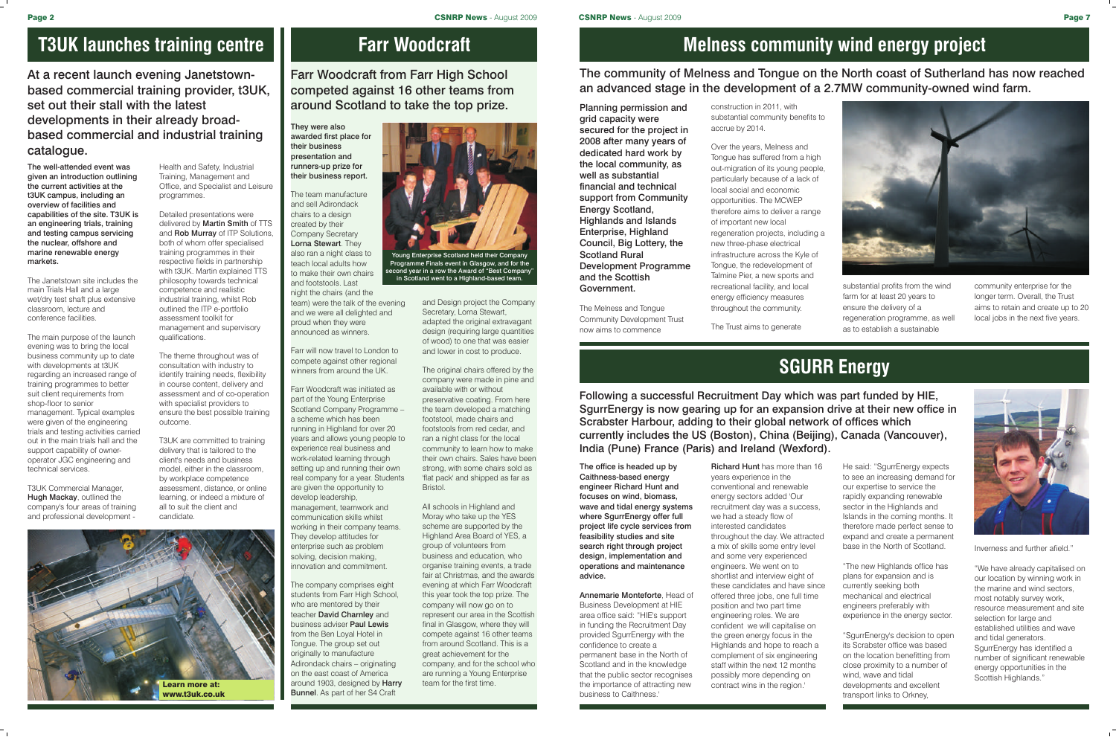#### **T3UK launches training centre**

The well-attended event was given an introduction outlining the current activities at the t3UK campus, including an overview of facilities and capabilities of the site. T3UK is an engineering trials, training and testing campus servicing the nuclear, offshore and marine renewable energy markets.

The Janetstown site includes the main Trials Hall and a large wet/dry test shaft plus extensive classroom, lecture and conference facilities.

T3UK Commercial Manager, Hugh Mackay, outlined the company's four areas of training and professional development -

The main purpose of the launch evening was to bring the local business community up to date with developments at t3UK regarding an increased range of training programmes to better suit client requirements from shop-floor to senior management. Typical examples were given of the engineering trials and testing activities carried out in the main trials hall and the support capability of owneroperator JGC engineering and technical services.

At a recent launch evening Janetstownbased commercial training provider, t3UK, set out their stall with the latest developments in their already broadbased commercial and industrial training catalogue.

> Health and Safety, Industrial Training, Management and Office, and Specialist and Leisure programmes.

Detailed presentations were delivered by Martin Smith of TTS and **Rob Murray** of ITP Solutions. both of whom offer specialised training programmes in their respective fields in partnership with t3UK. Martin explained TTS philosophy towards technical competence and realistic industrial training, whilst Rob outlined the ITP e-portfolio assessment toolkit for management and supervisory qualifications.

> The company comprises eight students from Farr High School, who are mentored by their teacher **David Charnley** and business adviser Paul Lewis from the Ben Loyal Hotel in Tongue. The group set out originally to manufacture Adirondack chairs – originating on the east coast of America around 1903, designed by Harry **Bunnel**. As part of her S4 Craft

The theme throughout was of consultation with industry to identify training needs, flexibility in course content, delivery and assessment and of co-operation with specialist providers to ensure the best possible training outcome.

T3UK are committed to training delivery that is tailored to the client's needs and business model, either in the classroom, by workplace competence assessment, distance, or online learning, or indeed a mixture of all to suit the client and candidate.



#### **Farr Woodcraft**

They were also awarded first place for their business presentation and runners-up prize for their business report.



Young Enterprise Scotland held their Cor Programme Finals event in Glasgow, and for the second year in a row the Award of "Best Company in Scotland went to a Highland-based team.

The team manufacture and sell Adirondack chairs to a design created by their Company Secretary Lorna Stewart. They also ran a night class to teach local adults how to make their own chairs and footstools. Last night the chairs (and the team) were the talk of the evening and we were all delighted and

Farr Woodcraft from Farr High School competed against 16 other teams from around Scotland to take the top prize.

proud when they were

announced as winners. Farr will now travel to London to compete against other regional

winners from around the UK.

Farr Woodcraft was initiated as part of the Young Enterprise Scotland Company Programme – a scheme which has been running in Highland for over 20 years and allows young people to experience real business and work-related learning through setting up and running their own real company for a year. Students are given the opportunity to develop leadership, management, teamwork and communication skills whilst working in their company teams. They develop attitudes for enterprise such as problem solving, decision making, innovation and commitment.

and Design project the Company Secretary, Lorna Stewart, adapted the original extravagant design (requiring large quantities of wood) to one that was easier and lower in cost to produce.

The original chairs offered by the company were made in pine and available with or without preservative coating. From here the team developed a matching footstool, made chairs and footstools from red cedar, and ran a night class for the local community to learn how to make their own chairs. Sales have been strong, with some chairs sold as 'flat pack' and shipped as far as Bristol.

All schools in Highland and Moray who take up the YES scheme are supported by the Highland Area Board of YES, a group of volunteers from business and education, who organise training events, a trade fair at Christmas, and the awards evening at which Farr Woodcraft this year took the top prize. The company will now go on to represent our area in the Scottish final in Glasgow, where they will compete against 16 other teams from around Scotland. This is a great achievement for the company, and for the school who are running a Young Enterprise team for the first time.

### **Melness community wind energy project**

Planning permission and grid capacity were secured for the project in 2008 after many years of dedicated hard work by the local community, as well as substantial financial and technical support from Community Energy Scotland, Highlands and Islands Enterprise, Highland Council, Big Lottery, the Scotland Rural Development Programme and the Scottish Government.

The Melness and Tongue Community Development Trust now aims to commence

The community of Melness and Tongue on the North coast of Sutherland has now reached an advanced stage in the development of a 2.7MW community-owned wind farm.

> construction in 2011, with substantial community benefits to accrue by 2014.

Over the years, Melness and Tongue has suffered from a high out-migration of its young people, particularly because of a lack of local social and economic opportunities. The MCWEP therefore aims to deliver a range of important new local regeneration projects, including a new three-phase electrical infrastructure across the Kyle of Tongue, the redevelopment of Talmine Pier, a new sports and recreational facility, and local energy efficiency measures throughout the community.



The Trust aims to generate

substantial profits from the wind farm for at least 20 years to ensure the delivery of a regeneration programme, as well as to establish a sustainable

community enterprise for the longer term. Overall, the Trust aims to retain and create up to 20 local jobs in the next five years.

## **SGURR Energy**

The office is headed up by Caithness-based energy engineer Richard Hunt and focuses on wind, biomass, wave and tidal energy systems where SgurrEnergy offer full project life cycle services from feasibility studies and site search right through project design, implementation and operations and maintenance advice.

Annemarie Monteforte, Head of Business Development at HIE area office said: "HIE's support in funding the Recruitment Day provided SgurrEnergy with the confidence to create a permanent base in the North of Scotland and in the knowledge that the public sector recognises the importance of attracting new business to Caithness.'

Richard Hunt has more than 16 years experience in the conventional and renewable energy sectors added 'Our recruitment day was a success, we had a steady flow of interested candidates throughout the day. We attracted a mix of skills some entry level and some very experienced engineers. We went on to shortlist and interview eight of these candidates and have since offered three jobs, one full time position and two part time engineering roles. We are confident we will capitalise on the green energy focus in the Highlands and hope to reach a complement of six engineering staff within the next 12 months possibly more depending on contract wins in the region.'

Following a successful Recruitment Day which was part funded by HIE, SgurrEnergy is now gearing up for an expansion drive at their new office in Scrabster Harbour, adding to their global network of offices which currently includes the US (Boston), China (Beijing), Canada (Vancouver),

# India (Pune) France (Paris) and Ireland (Wexford).

He said: "SgurrEnergy expects to see an increasing demand for our expertise to service the rapidly expanding renewable sector in the Highlands and Islands in the coming months. It therefore made perfect sense to expand and create a permanent base in the North of Scotland.

"The new Highlands office has plans for expansion and is currently seeking both mechanical and electrical engineers preferably with experience in the energy sector.

"SgurrEnergy's decision to open its Scrabster office was based on the location benefitting from close proximity to a number of wind, wave and tidal developments and excellent transport links to Orkney,



Inverness and further afield.

"We have already capitalised on our location by winning work in the marine and wind sectors, most notably survey work, resource measurement and site selection for large and established utilities and wave and tidal generators. SgurrEnergy has identified a number of significant renewable energy opportunities in the Scottish Highlands."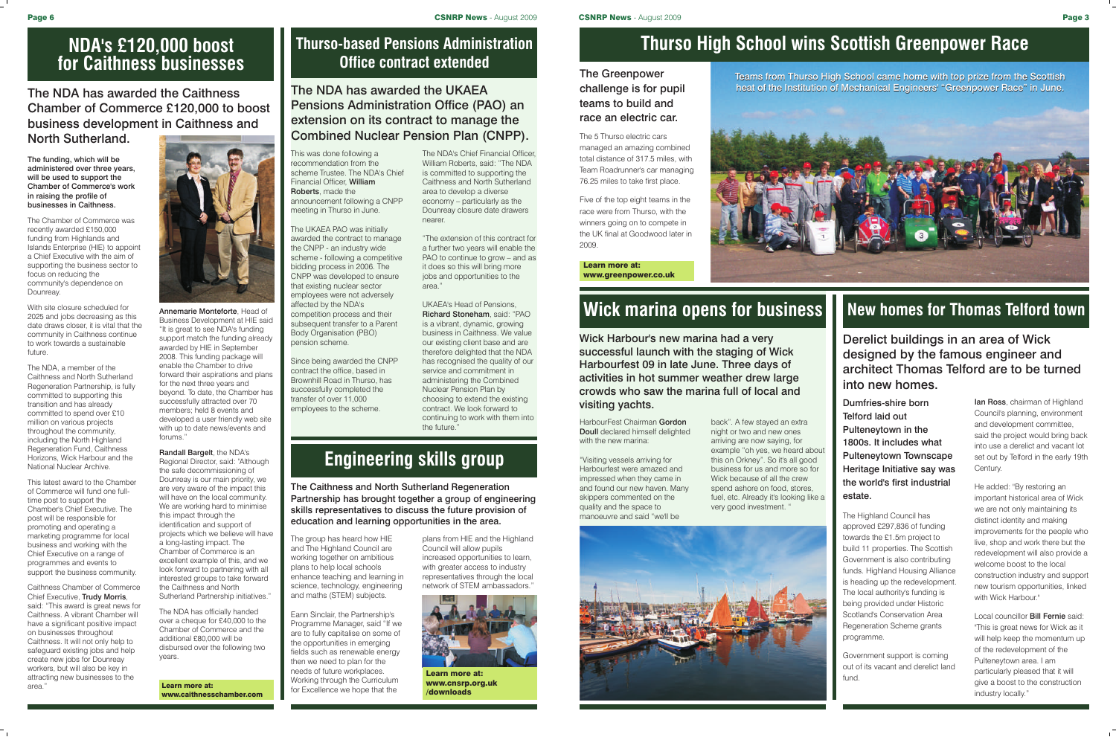#### **Thurso High School wins Scottish Greenpower Race**

Teams from Thurso High School came home with top prize from the Scottish heat of the Institution of Mechanical Engineers' "Greenpower Race" in June.



The 5 Thurso electric cars managed an amazing combined total distance of 317.5 miles, with Team Roadrunner's car managing 76.25 miles to take first place.

HarbourFest Chairman Gordon Doull declared himself delighted with the new marina:

Five of the top eight teams in the race were from Thurso, with the winners going on to compete in the UK final at Goodwood later in 2009.

Learn more at: www.greenpower.co.uk

## **Wick marina opens for business**

"Visiting vessels arriving for Harbourfest were amazed and impressed when they came in and found our new haven. Many skippers commented on the quality and the space to manoeuvre and said "we'll be



Wick Harbour's new marina had a very successful launch with the staging of Wick Harbourfest 09 in late June. Three days of activities in hot summer weather drew large crowds who saw the marina full of local and visiting yachts.

Ian Ross, chairman of Highland Council's planning, environment and development committee, said the project would bring back into use a derelict and vacant lot set out by Telford in the early 19th Century.

back". A few stayed an extra night or two and new ones arriving are now saying, for example "oh yes, we heard about this on Orkney". So it's all good business for us and more so for Wick because of all the crew spend ashore on food, stores, fuel, etc. Already it's looking like a very good investment. "

#### **New homes for Thomas Telford town**

Dumfries-shire born Telford laid out Pulteneytown in the 1800s. It includes what Pulteneytown Townscape Heritage Initiative say was the world's first industrial estate.

> Local councillor **Bill Fernie** said "This is great news for Wick as it will help keep the momentum up of the redevelopment of the Pulteneytown area. I am particularly pleased that it will give a boost to the construction industry locally."

The Highland Council has approved £297,836 of funding towards the £1.5m project to build 11 properties. The Scottish Government is also contributing funds. Highland Housing Alliance is heading up the redevelopment. The local authority's funding is being provided under Historic Scotland's Conservation Area Regeneration Scheme grants programme.

Government support is coming out of its vacant and derelict land fund.

#### The Greenpower challenge is for pupil teams to build and race an electric car.

Derelict buildings in an area of Wick designed by the famous engineer and architect Thomas Telford are to be turned into new homes.

UKAEA's Head of Pensions, Richard Stoneham, said: "PAO is a vibrant, dynamic, growing business in Caithness. We value our existing client base and are therefore delighted that the NDA has recognised the quality of our service and commitment in administering the Combined Nuclear Pension Plan by choosing to extend the existing contract. We look forward to continuing to work with them into the future

> He added: "By restoring an important historical area of Wick we are not only maintaining its distinct identity and making improvements for the people who live, shop and work there but the redevelopment will also provide a welcome boost to the local construction industry and support new tourism opportunities, linked with Wick Harbour."

#### **Thurso-based Pensions Administration Office contract extended**

This was done following a recommendation from the scheme Trustee. The NDA's Chief Financial Officer, William Roberts, made the announcement following a CNPP meeting in Thurso in June.

The UKAEA PAO was initially awarded the contract to manage the CNPP - an industry wide scheme - following a competitive bidding process in 2006. The CNPP was developed to ensure that existing nuclear sector employees were not adversely affected by the NDA's competition process and their subsequent transfer to a Parent Body Organisation (PBO) pension scheme.

Since being awarded the CNPP contract the office, based in Brownhill Road in Thurso, has successfully completed the transfer of over 11,000 employees to the scheme.

The NDA has awarded the UKAEA Pensions Administration Office (PAO) an extension on its contract to manage the Combined Nuclear Pension Plan (CNPP).

Annemarie Monteforte, Head of Business Development at HIE said "It is great to see NDA's funding support match the funding already awarded by HIE in September 2008. This funding package will enable the Chamber to drive forward their aspirations and plans for the next three years and beyond. To date, the Chamber has successfully attracted over 70 members; held 8 events and developed a user friendly web site with up to date news/events and forums."

Randall Bargelt, the NDA's Regional Director, said: "Although the safe decommissioning of Dounreay is our main priority, we are very aware of the impact this will have on the local community. We are working hard to minimise this impact through the identification and support of projects which we believe will have a long-lasting impact. The Chamber of Commerce is an excellent example of this, and we look forward to partnering with all interested groups to take forward the Caithness and North Sutherland Partnership initiatives.

The NDA's Chief Financial Officer, William Roberts, said: "The NDA is committed to supporting the Caithness and North Sutherland area to develop a diverse economy – particularly as the Dounreay closure date drawers nearer.

"The extension of this contract for a further two years will enable the PAO to continue to grow – and as it does so this will bring more jobs and opportunities to the area."

#### **Engineering skills group**

The group has heard how HIE and The Highland Council are working together on ambitious plans to help local schools enhance teaching and learning in science, technology, engineering and maths (STEM) subjects.

Eann Sinclair, the Partnership's Programme Manager, said "If we are to fully capitalise on some of the opportunities in emerging fields such as renewable energy then we need to plan for the needs of future workplaces. Working through the Curriculum for Excellence we hope that the

The Caithness and North Sutherland Regeneration Partnership has brought together a group of engineering skills representatives to discuss the future provision of education and learning opportunities in the area.

> plans from HIE and the Highland Council will allow pupils increased opportunities to learn, with greater access to industry representatives through the local network of STEM ambassadors."



Learn more at: www.cnsrp.org.uk /downloads

The NDA has awarded the Caithness Chamber of Commerce £120,000 to boost business development in Caithness and North Sutherland.

The funding, which will be administered over three years, will be used to support the Chamber of Commerce's work in raising the profile of businesses in Caithness.

The Chamber of Commerce was recently awarded £150,000 funding from Highlands and Islands Enterprise (HIE) to appoint a Chief Executive with the aim of supporting the business sector to focus on reducing the community's dependence on Dounreay.

With site closure scheduled for 2025 and jobs decreasing as this date draws closer, it is vital that the community in Caithness continue to work towards a sustainable future.

The NDA, a member of the Caithness and North Sutherland Regeneration Partnership, is fully committed to supporting this transition and has already committed to spend over £10 million on various projects throughout the community, including the North Highland Regeneration Fund, Caithness Horizons, Wick Harbour and the National Nuclear Archive.

This latest award to the Chamber of Commerce will fund one fulltime post to support the Chamber's Chief Executive. The post will be responsible for promoting and operating a marketing programme for local business and working with the Chief Executive on a range of programmes and events to support the business community.

Caithness Chamber of Commerce Chief Executive, Trudy Morris, said: "This award is great news for Caithness. A vibrant Chamber will have a significant positive impact on businesses throughout Caithness. It will not only help to safeguard existing jobs and help create new jobs for Dounreay workers, but will also be key in attracting new businesses to the area." Learn more at:



www.caithnesschamber.com

The NDA has officially handed over a cheque for £40,000 to the Chamber of Commerce and the additional £80,000 will be disbursed over the following two years.